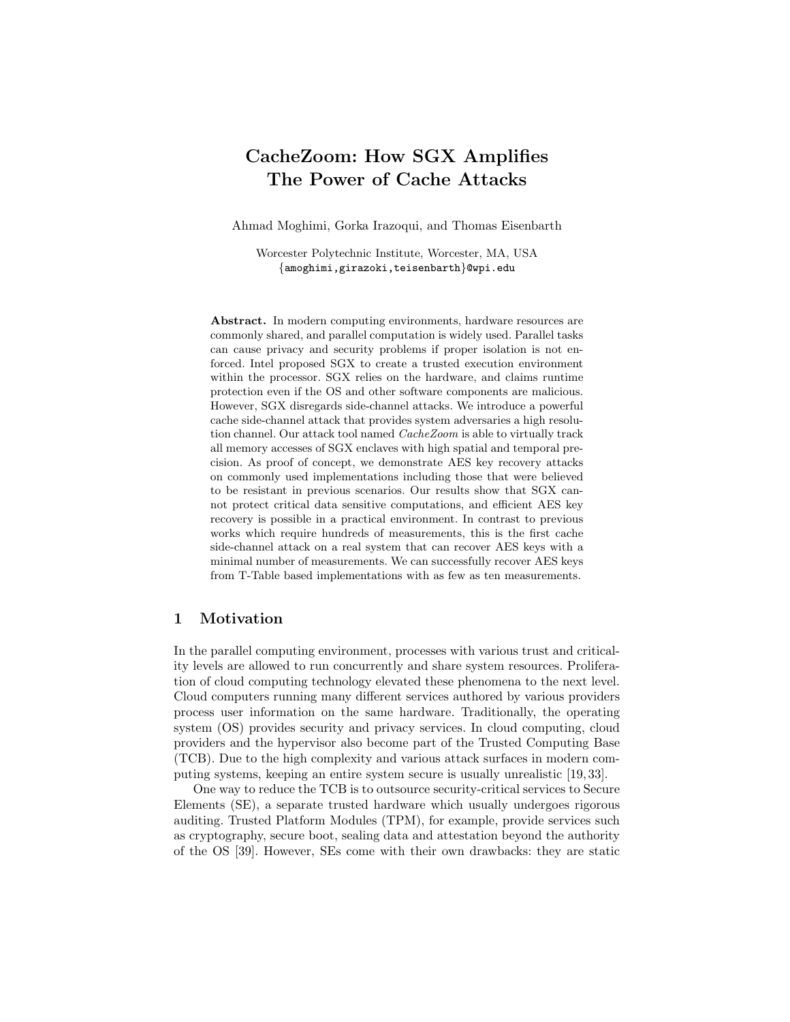# CacheZoom: How SGX Amplifies The Power of Cache Attacks

Ahmad Moghimi, Gorka Irazoqui, and Thomas Eisenbarth

Worcester Polytechnic Institute, Worcester, MA, USA {amoghimi,girazoki,teisenbarth}@wpi.edu

Abstract. In modern computing environments, hardware resources are commonly shared, and parallel computation is widely used. Parallel tasks can cause privacy and security problems if proper isolation is not enforced. Intel proposed SGX to create a trusted execution environment within the processor. SGX relies on the hardware, and claims runtime protection even if the OS and other software components are malicious. However, SGX disregards side-channel attacks. We introduce a powerful cache side-channel attack that provides system adversaries a high resolution channel. Our attack tool named CacheZoom is able to virtually track all memory accesses of SGX enclaves with high spatial and temporal precision. As proof of concept, we demonstrate AES key recovery attacks on commonly used implementations including those that were believed to be resistant in previous scenarios. Our results show that SGX cannot protect critical data sensitive computations, and efficient AES key recovery is possible in a practical environment. In contrast to previous works which require hundreds of measurements, this is the first cache side-channel attack on a real system that can recover AES keys with a minimal number of measurements. We can successfully recover AES keys from T-Table based implementations with as few as ten measurements.

# 1 Motivation

In the parallel computing environment, processes with various trust and criticality levels are allowed to run concurrently and share system resources. Proliferation of cloud computing technology elevated these phenomena to the next level. Cloud computers running many different services authored by various providers process user information on the same hardware. Traditionally, the operating system (OS) provides security and privacy services. In cloud computing, cloud providers and the hypervisor also become part of the Trusted Computing Base (TCB). Due to the high complexity and various attack surfaces in modern computing systems, keeping an entire system secure is usually unrealistic [19, 33].

One way to reduce the TCB is to outsource security-critical services to Secure Elements (SE), a separate trusted hardware which usually undergoes rigorous auditing. Trusted Platform Modules (TPM), for example, provide services such as cryptography, secure boot, sealing data and attestation beyond the authority of the OS [39]. However, SEs come with their own drawbacks: they are static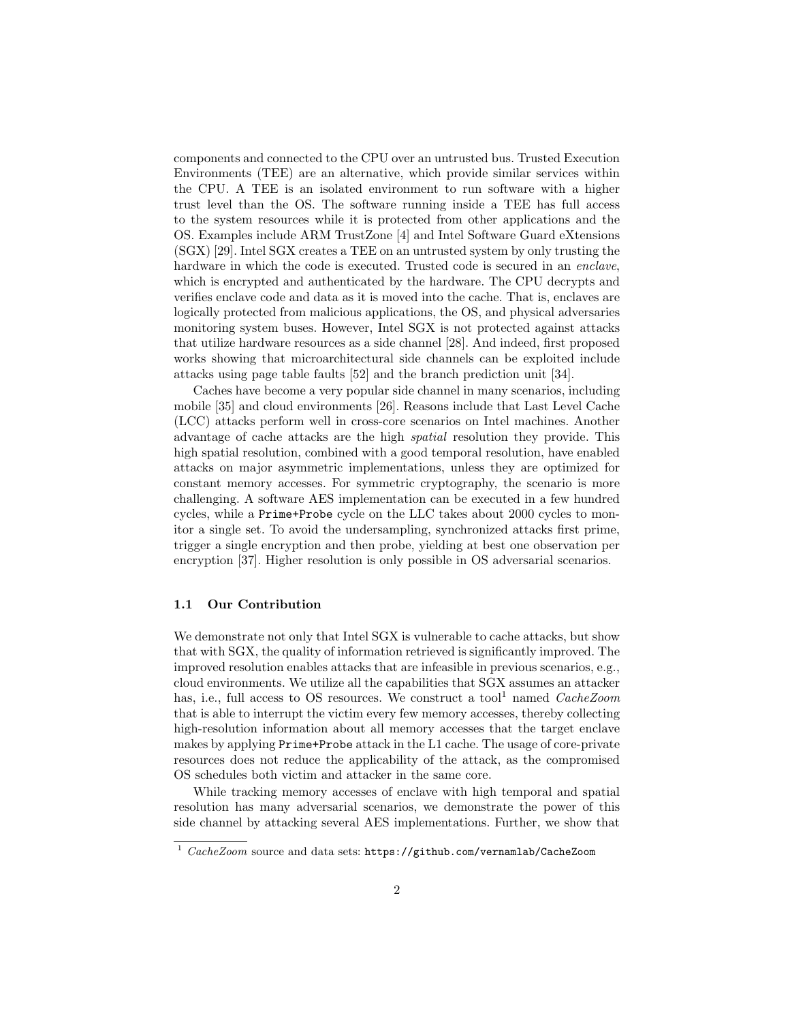components and connected to the CPU over an untrusted bus. Trusted Execution Environments (TEE) are an alternative, which provide similar services within the CPU. A TEE is an isolated environment to run software with a higher trust level than the OS. The software running inside a TEE has full access to the system resources while it is protected from other applications and the OS. Examples include ARM TrustZone [4] and Intel Software Guard eXtensions (SGX) [29]. Intel SGX creates a TEE on an untrusted system by only trusting the hardware in which the code is executed. Trusted code is secured in an *enclave*, which is encrypted and authenticated by the hardware. The CPU decrypts and verifies enclave code and data as it is moved into the cache. That is, enclaves are logically protected from malicious applications, the OS, and physical adversaries monitoring system buses. However, Intel SGX is not protected against attacks that utilize hardware resources as a side channel [28]. And indeed, first proposed works showing that microarchitectural side channels can be exploited include attacks using page table faults [52] and the branch prediction unit [34].

Caches have become a very popular side channel in many scenarios, including mobile [35] and cloud environments [26]. Reasons include that Last Level Cache (LCC) attacks perform well in cross-core scenarios on Intel machines. Another advantage of cache attacks are the high spatial resolution they provide. This high spatial resolution, combined with a good temporal resolution, have enabled attacks on major asymmetric implementations, unless they are optimized for constant memory accesses. For symmetric cryptography, the scenario is more challenging. A software AES implementation can be executed in a few hundred cycles, while a Prime+Probe cycle on the LLC takes about 2000 cycles to monitor a single set. To avoid the undersampling, synchronized attacks first prime, trigger a single encryption and then probe, yielding at best one observation per encryption [37]. Higher resolution is only possible in OS adversarial scenarios.

#### 1.1 Our Contribution

We demonstrate not only that Intel SGX is vulnerable to cache attacks, but show that with SGX, the quality of information retrieved is significantly improved. The improved resolution enables attacks that are infeasible in previous scenarios, e.g., cloud environments. We utilize all the capabilities that SGX assumes an attacker has, i.e., full access to OS resources. We construct a tool<sup>1</sup> named *CacheZoom* that is able to interrupt the victim every few memory accesses, thereby collecting high-resolution information about all memory accesses that the target enclave makes by applying Prime+Probe attack in the L1 cache. The usage of core-private resources does not reduce the applicability of the attack, as the compromised OS schedules both victim and attacker in the same core.

While tracking memory accesses of enclave with high temporal and spatial resolution has many adversarial scenarios, we demonstrate the power of this side channel by attacking several AES implementations. Further, we show that

<sup>1</sup> CacheZoom source and data sets: https://github.com/vernamlab/CacheZoom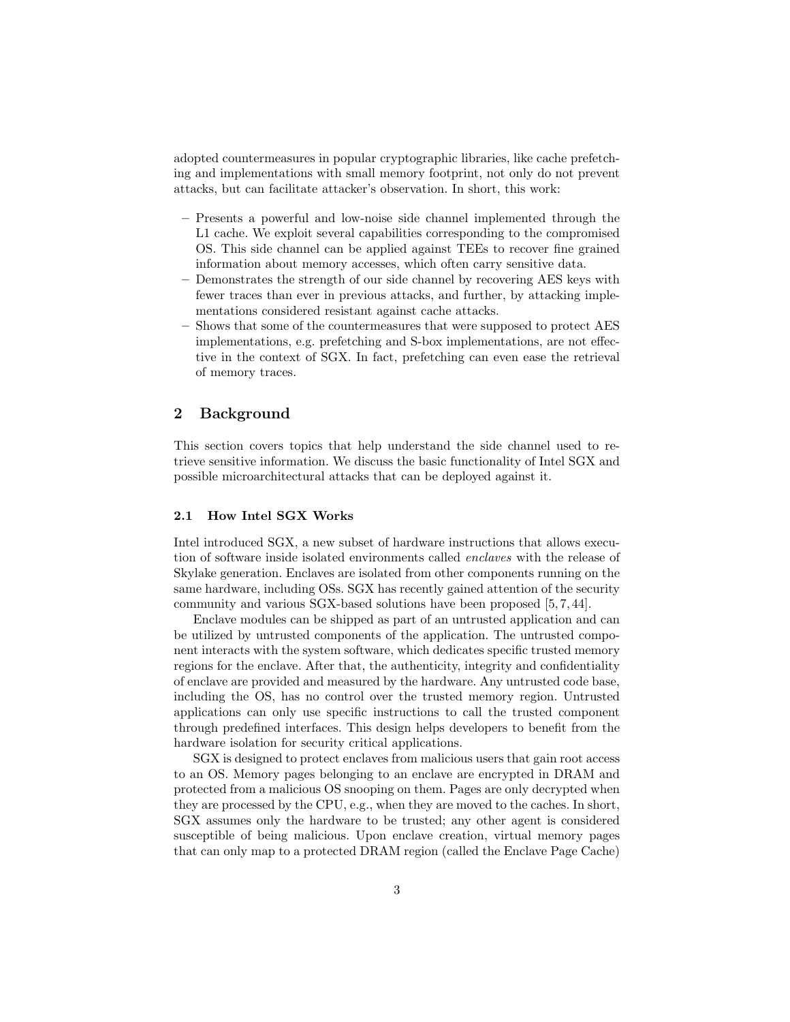adopted countermeasures in popular cryptographic libraries, like cache prefetching and implementations with small memory footprint, not only do not prevent attacks, but can facilitate attacker's observation. In short, this work:

- Presents a powerful and low-noise side channel implemented through the L1 cache. We exploit several capabilities corresponding to the compromised OS. This side channel can be applied against TEEs to recover fine grained information about memory accesses, which often carry sensitive data.
- Demonstrates the strength of our side channel by recovering AES keys with fewer traces than ever in previous attacks, and further, by attacking implementations considered resistant against cache attacks.
- Shows that some of the countermeasures that were supposed to protect AES implementations, e.g. prefetching and S-box implementations, are not effective in the context of SGX. In fact, prefetching can even ease the retrieval of memory traces.

## 2 Background

This section covers topics that help understand the side channel used to retrieve sensitive information. We discuss the basic functionality of Intel SGX and possible microarchitectural attacks that can be deployed against it.

#### 2.1 How Intel SGX Works

Intel introduced SGX, a new subset of hardware instructions that allows execution of software inside isolated environments called enclaves with the release of Skylake generation. Enclaves are isolated from other components running on the same hardware, including OSs. SGX has recently gained attention of the security community and various SGX-based solutions have been proposed [5, 7, 44].

Enclave modules can be shipped as part of an untrusted application and can be utilized by untrusted components of the application. The untrusted component interacts with the system software, which dedicates specific trusted memory regions for the enclave. After that, the authenticity, integrity and confidentiality of enclave are provided and measured by the hardware. Any untrusted code base, including the OS, has no control over the trusted memory region. Untrusted applications can only use specific instructions to call the trusted component through predefined interfaces. This design helps developers to benefit from the hardware isolation for security critical applications.

SGX is designed to protect enclaves from malicious users that gain root access to an OS. Memory pages belonging to an enclave are encrypted in DRAM and protected from a malicious OS snooping on them. Pages are only decrypted when they are processed by the CPU, e.g., when they are moved to the caches. In short, SGX assumes only the hardware to be trusted; any other agent is considered susceptible of being malicious. Upon enclave creation, virtual memory pages that can only map to a protected DRAM region (called the Enclave Page Cache)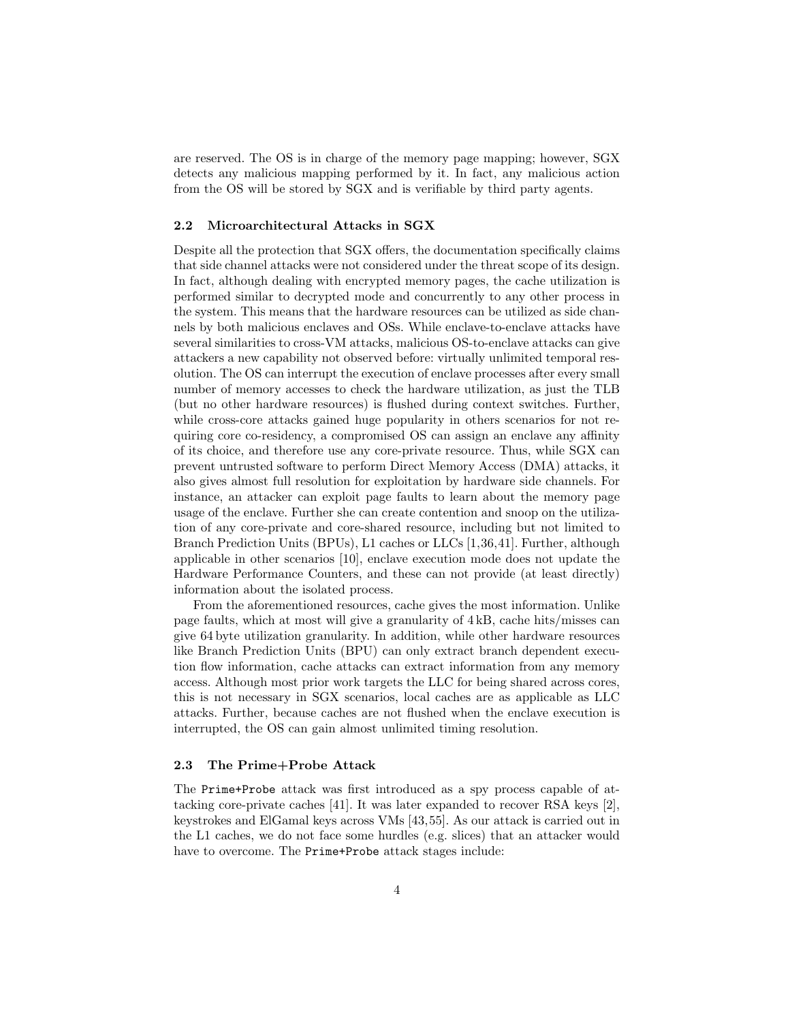are reserved. The OS is in charge of the memory page mapping; however, SGX detects any malicious mapping performed by it. In fact, any malicious action from the OS will be stored by SGX and is verifiable by third party agents.

#### 2.2 Microarchitectural Attacks in SGX

Despite all the protection that SGX offers, the documentation specifically claims that side channel attacks were not considered under the threat scope of its design. In fact, although dealing with encrypted memory pages, the cache utilization is performed similar to decrypted mode and concurrently to any other process in the system. This means that the hardware resources can be utilized as side channels by both malicious enclaves and OSs. While enclave-to-enclave attacks have several similarities to cross-VM attacks, malicious OS-to-enclave attacks can give attackers a new capability not observed before: virtually unlimited temporal resolution. The OS can interrupt the execution of enclave processes after every small number of memory accesses to check the hardware utilization, as just the TLB (but no other hardware resources) is flushed during context switches. Further, while cross-core attacks gained huge popularity in others scenarios for not requiring core co-residency, a compromised OS can assign an enclave any affinity of its choice, and therefore use any core-private resource. Thus, while SGX can prevent untrusted software to perform Direct Memory Access (DMA) attacks, it also gives almost full resolution for exploitation by hardware side channels. For instance, an attacker can exploit page faults to learn about the memory page usage of the enclave. Further she can create contention and snoop on the utilization of any core-private and core-shared resource, including but not limited to Branch Prediction Units (BPUs), L1 caches or LLCs [1,36,41]. Further, although applicable in other scenarios [10], enclave execution mode does not update the Hardware Performance Counters, and these can not provide (at least directly) information about the isolated process.

From the aforementioned resources, cache gives the most information. Unlike page faults, which at most will give a granularity of 4 kB, cache hits/misses can give 64 byte utilization granularity. In addition, while other hardware resources like Branch Prediction Units (BPU) can only extract branch dependent execution flow information, cache attacks can extract information from any memory access. Although most prior work targets the LLC for being shared across cores, this is not necessary in SGX scenarios, local caches are as applicable as LLC attacks. Further, because caches are not flushed when the enclave execution is interrupted, the OS can gain almost unlimited timing resolution.

#### 2.3 The Prime+Probe Attack

The Prime+Probe attack was first introduced as a spy process capable of attacking core-private caches [41]. It was later expanded to recover RSA keys [2], keystrokes and ElGamal keys across VMs [43,55]. As our attack is carried out in the L1 caches, we do not face some hurdles (e.g. slices) that an attacker would have to overcome. The Prime+Probe attack stages include: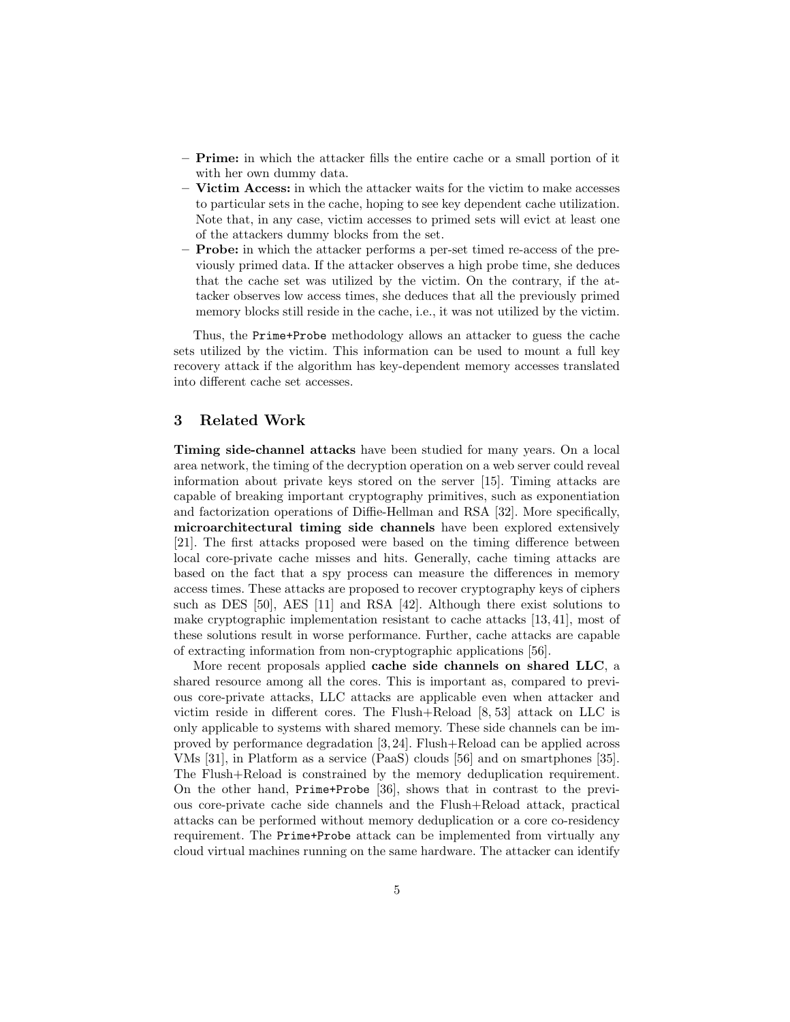- Prime: in which the attacker fills the entire cache or a small portion of it with her own dummy data.
- Victim Access: in which the attacker waits for the victim to make accesses to particular sets in the cache, hoping to see key dependent cache utilization. Note that, in any case, victim accesses to primed sets will evict at least one of the attackers dummy blocks from the set.
- Probe: in which the attacker performs a per-set timed re-access of the previously primed data. If the attacker observes a high probe time, she deduces that the cache set was utilized by the victim. On the contrary, if the attacker observes low access times, she deduces that all the previously primed memory blocks still reside in the cache, i.e., it was not utilized by the victim.

Thus, the Prime+Probe methodology allows an attacker to guess the cache sets utilized by the victim. This information can be used to mount a full key recovery attack if the algorithm has key-dependent memory accesses translated into different cache set accesses.

# 3 Related Work

Timing side-channel attacks have been studied for many years. On a local area network, the timing of the decryption operation on a web server could reveal information about private keys stored on the server [15]. Timing attacks are capable of breaking important cryptography primitives, such as exponentiation and factorization operations of Diffie-Hellman and RSA [32]. More specifically, microarchitectural timing side channels have been explored extensively [21]. The first attacks proposed were based on the timing difference between local core-private cache misses and hits. Generally, cache timing attacks are based on the fact that a spy process can measure the differences in memory access times. These attacks are proposed to recover cryptography keys of ciphers such as DES [50], AES [11] and RSA [42]. Although there exist solutions to make cryptographic implementation resistant to cache attacks [13, 41], most of these solutions result in worse performance. Further, cache attacks are capable of extracting information from non-cryptographic applications [56].

More recent proposals applied cache side channels on shared LLC, a shared resource among all the cores. This is important as, compared to previous core-private attacks, LLC attacks are applicable even when attacker and victim reside in different cores. The Flush+Reload [8, 53] attack on LLC is only applicable to systems with shared memory. These side channels can be improved by performance degradation [3, 24]. Flush+Reload can be applied across VMs [31], in Platform as a service (PaaS) clouds [56] and on smartphones [35]. The Flush+Reload is constrained by the memory deduplication requirement. On the other hand, Prime+Probe [36], shows that in contrast to the previous core-private cache side channels and the Flush+Reload attack, practical attacks can be performed without memory deduplication or a core co-residency requirement. The Prime+Probe attack can be implemented from virtually any cloud virtual machines running on the same hardware. The attacker can identify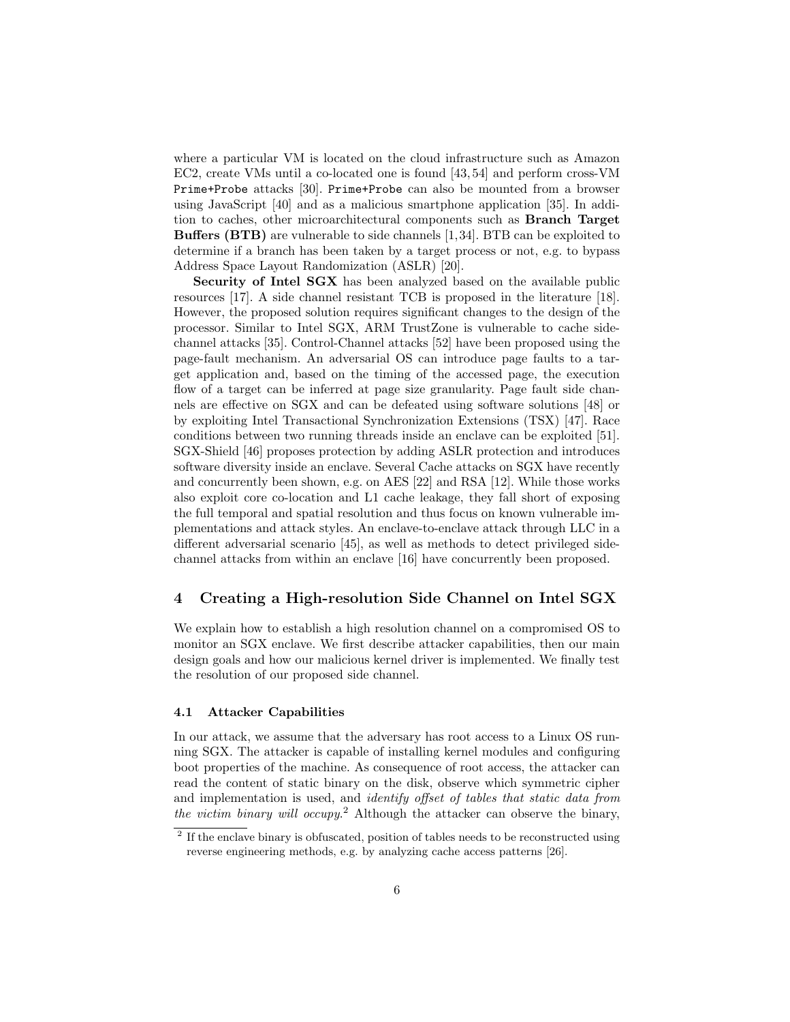where a particular VM is located on the cloud infrastructure such as Amazon EC2, create VMs until a co-located one is found [43, 54] and perform cross-VM Prime+Probe attacks [30]. Prime+Probe can also be mounted from a browser using JavaScript [40] and as a malicious smartphone application [35]. In addition to caches, other microarchitectural components such as Branch Target Buffers (BTB) are vulnerable to side channels [1,34]. BTB can be exploited to determine if a branch has been taken by a target process or not, e.g. to bypass Address Space Layout Randomization (ASLR) [20].

Security of Intel SGX has been analyzed based on the available public resources [17]. A side channel resistant TCB is proposed in the literature [18]. However, the proposed solution requires significant changes to the design of the processor. Similar to Intel SGX, ARM TrustZone is vulnerable to cache sidechannel attacks [35]. Control-Channel attacks [52] have been proposed using the page-fault mechanism. An adversarial OS can introduce page faults to a target application and, based on the timing of the accessed page, the execution flow of a target can be inferred at page size granularity. Page fault side channels are effective on SGX and can be defeated using software solutions [48] or by exploiting Intel Transactional Synchronization Extensions (TSX) [47]. Race conditions between two running threads inside an enclave can be exploited [51]. SGX-Shield [46] proposes protection by adding ASLR protection and introduces software diversity inside an enclave. Several Cache attacks on SGX have recently and concurrently been shown, e.g. on AES [22] and RSA [12]. While those works also exploit core co-location and L1 cache leakage, they fall short of exposing the full temporal and spatial resolution and thus focus on known vulnerable implementations and attack styles. An enclave-to-enclave attack through LLC in a different adversarial scenario [45], as well as methods to detect privileged sidechannel attacks from within an enclave [16] have concurrently been proposed.

### 4 Creating a High-resolution Side Channel on Intel SGX

We explain how to establish a high resolution channel on a compromised OS to monitor an SGX enclave. We first describe attacker capabilities, then our main design goals and how our malicious kernel driver is implemented. We finally test the resolution of our proposed side channel.

#### 4.1 Attacker Capabilities

In our attack, we assume that the adversary has root access to a Linux OS running SGX. The attacker is capable of installing kernel modules and configuring boot properties of the machine. As consequence of root access, the attacker can read the content of static binary on the disk, observe which symmetric cipher and implementation is used, and identify offset of tables that static data from the victim binary will occupy.<sup>2</sup> Although the attacker can observe the binary,

 $2<sup>2</sup>$  If the enclave binary is obfuscated, position of tables needs to be reconstructed using reverse engineering methods, e.g. by analyzing cache access patterns [26].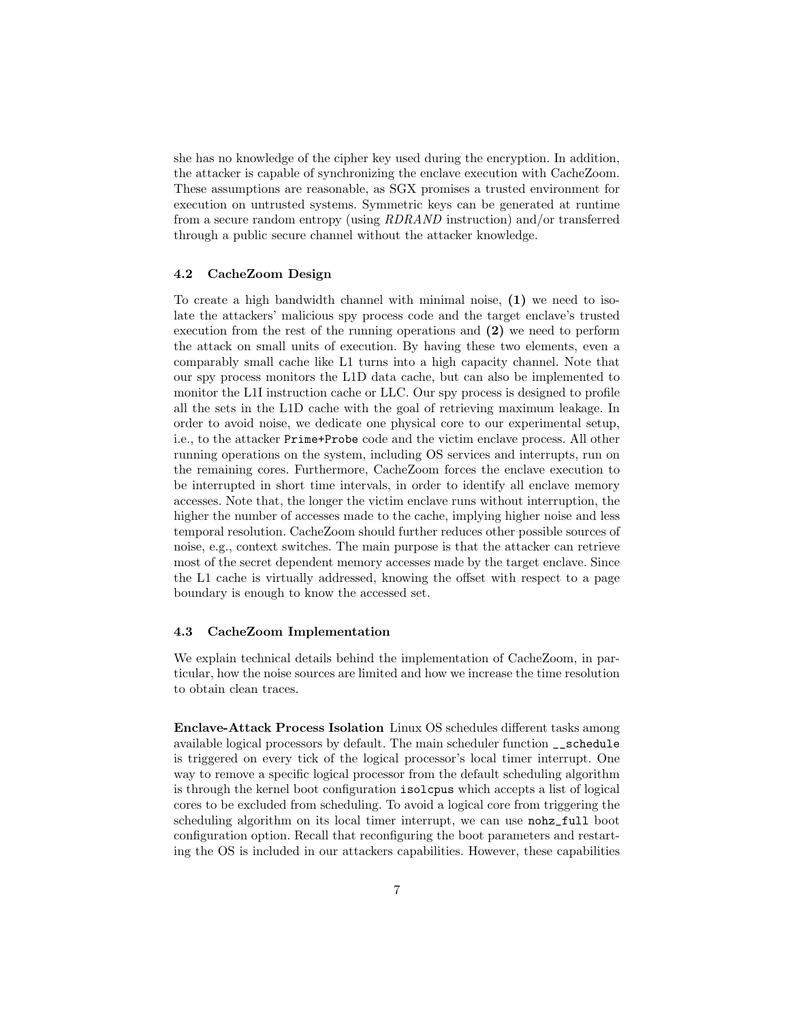she has no knowledge of the cipher key used during the encryption. In addition, the attacker is capable of synchronizing the enclave execution with CacheZoom. These assumptions are reasonable, as SGX promises a trusted environment for execution on untrusted systems. Symmetric keys can be generated at runtime from a secure random entropy (using RDRAND instruction) and/or transferred through a public secure channel without the attacker knowledge.

#### 4.2 CacheZoom Design

To create a high bandwidth channel with minimal noise, (1) we need to isolate the attackers' malicious spy process code and the target enclave's trusted execution from the rest of the running operations and (2) we need to perform the attack on small units of execution. By having these two elements, even a comparably small cache like L1 turns into a high capacity channel. Note that our spy process monitors the L1D data cache, but can also be implemented to monitor the L1I instruction cache or LLC. Our spy process is designed to profile all the sets in the L1D cache with the goal of retrieving maximum leakage. In order to avoid noise, we dedicate one physical core to our experimental setup, i.e., to the attacker Prime+Probe code and the victim enclave process. All other running operations on the system, including OS services and interrupts, run on the remaining cores. Furthermore, CacheZoom forces the enclave execution to be interrupted in short time intervals, in order to identify all enclave memory accesses. Note that, the longer the victim enclave runs without interruption, the higher the number of accesses made to the cache, implying higher noise and less temporal resolution. CacheZoom should further reduces other possible sources of noise, e.g., context switches. The main purpose is that the attacker can retrieve most of the secret dependent memory accesses made by the target enclave. Since the L1 cache is virtually addressed, knowing the offset with respect to a page boundary is enough to know the accessed set.

#### 4.3 CacheZoom Implementation

We explain technical details behind the implementation of CacheZoom, in particular, how the noise sources are limited and how we increase the time resolution to obtain clean traces.

Enclave-Attack Process Isolation Linux OS schedules different tasks among available logical processors by default. The main scheduler function \_\_schedule is triggered on every tick of the logical processor's local timer interrupt. One way to remove a specific logical processor from the default scheduling algorithm is through the kernel boot configuration isolcpus which accepts a list of logical cores to be excluded from scheduling. To avoid a logical core from triggering the scheduling algorithm on its local timer interrupt, we can use nohz\_full boot configuration option. Recall that reconfiguring the boot parameters and restarting the OS is included in our attackers capabilities. However, these capabilities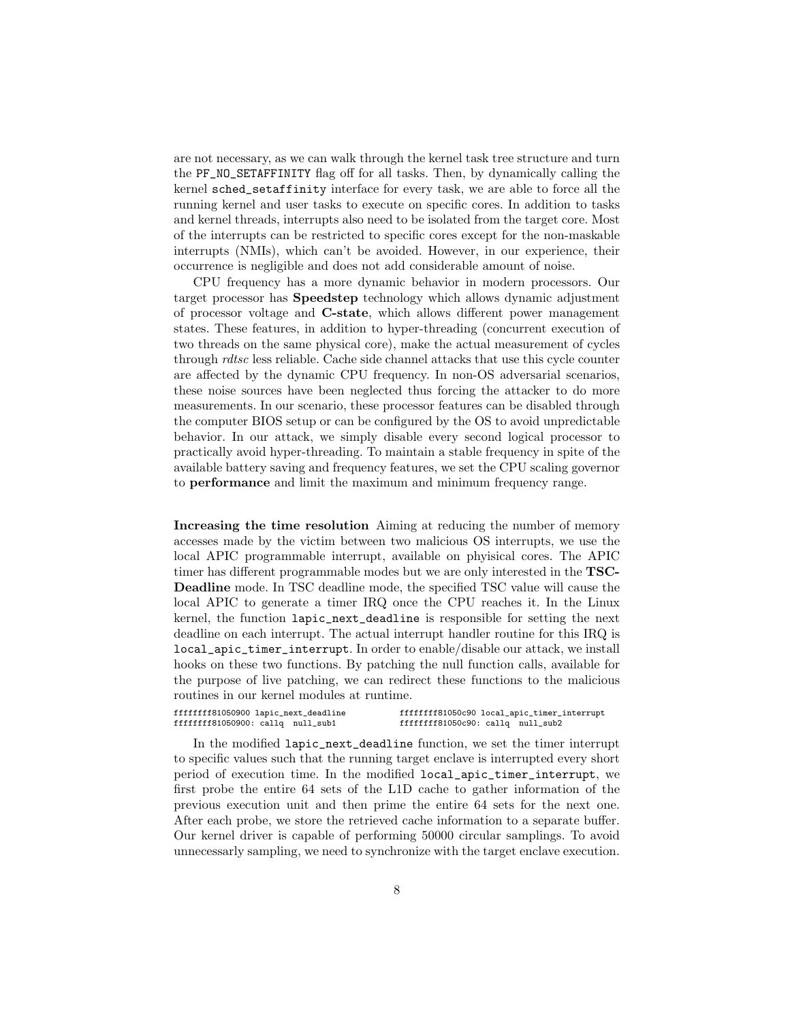are not necessary, as we can walk through the kernel task tree structure and turn the PF\_NO\_SETAFFINITY flag off for all tasks. Then, by dynamically calling the kernel sched\_setaffinity interface for every task, we are able to force all the running kernel and user tasks to execute on specific cores. In addition to tasks and kernel threads, interrupts also need to be isolated from the target core. Most of the interrupts can be restricted to specific cores except for the non-maskable interrupts (NMIs), which can't be avoided. However, in our experience, their occurrence is negligible and does not add considerable amount of noise.

CPU frequency has a more dynamic behavior in modern processors. Our target processor has Speedstep technology which allows dynamic adjustment of processor voltage and C-state, which allows different power management states. These features, in addition to hyper-threading (concurrent execution of two threads on the same physical core), make the actual measurement of cycles through rdtsc less reliable. Cache side channel attacks that use this cycle counter are affected by the dynamic CPU frequency. In non-OS adversarial scenarios, these noise sources have been neglected thus forcing the attacker to do more measurements. In our scenario, these processor features can be disabled through the computer BIOS setup or can be configured by the OS to avoid unpredictable behavior. In our attack, we simply disable every second logical processor to practically avoid hyper-threading. To maintain a stable frequency in spite of the available battery saving and frequency features, we set the CPU scaling governor to performance and limit the maximum and minimum frequency range.

Increasing the time resolution Aiming at reducing the number of memory accesses made by the victim between two malicious OS interrupts, we use the local APIC programmable interrupt, available on phyisical cores. The APIC timer has different programmable modes but we are only interested in the TSC-Deadline mode. In TSC deadline mode, the specified TSC value will cause the local APIC to generate a timer IRQ once the CPU reaches it. In the Linux kernel, the function lapic\_next\_deadline is responsible for setting the next deadline on each interrupt. The actual interrupt handler routine for this IRQ is local\_apic\_timer\_interrupt. In order to enable/disable our attack, we install hooks on these two functions. By patching the null function calls, available for the purpose of live patching, we can redirect these functions to the malicious routines in our kernel modules at runtime.

ffffffff81050900 lapic\_next\_deadline ffffffff81050900: callq null\_sub1

ffffffff81050c90 local\_apic\_timer\_interrupt ffffffff81050c90: callq null\_sub2

In the modified lapic\_next\_deadline function, we set the timer interrupt to specific values such that the running target enclave is interrupted every short period of execution time. In the modified local\_apic\_timer\_interrupt, we first probe the entire 64 sets of the L1D cache to gather information of the previous execution unit and then prime the entire 64 sets for the next one. After each probe, we store the retrieved cache information to a separate buffer. Our kernel driver is capable of performing 50000 circular samplings. To avoid unnecessarly sampling, we need to synchronize with the target enclave execution.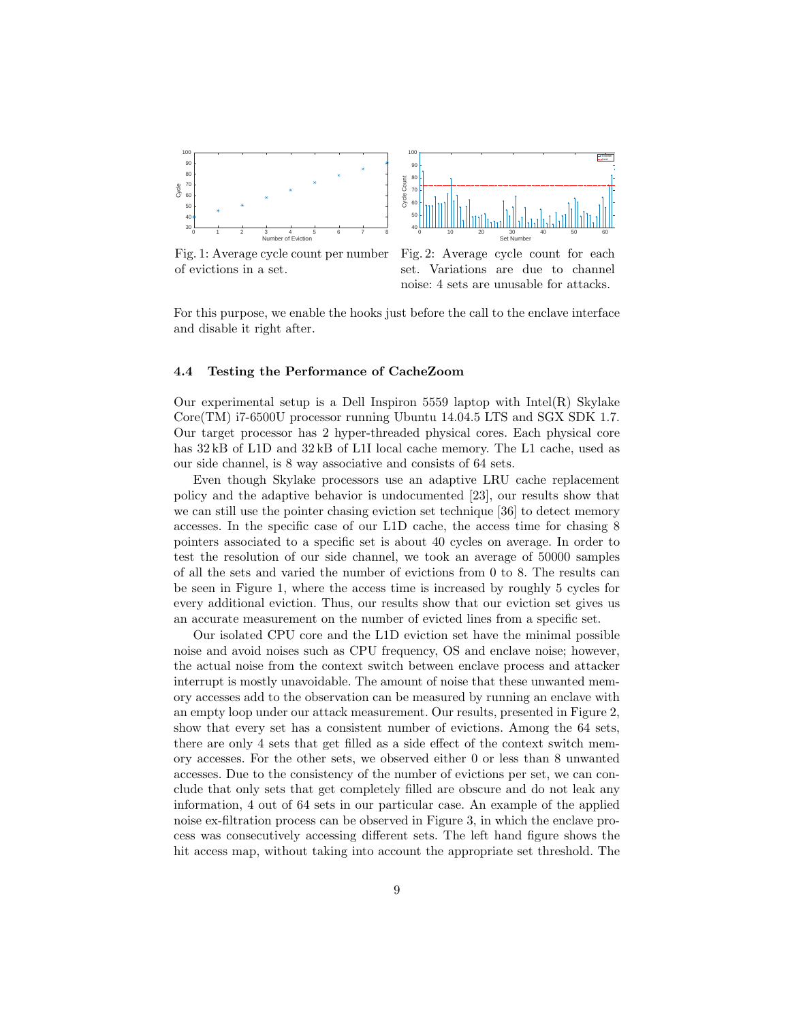

Fig. 1: Average cycle count per number of evictions in a set.



For this purpose, we enable the hooks just before the call to the enclave interface and disable it right after.

#### 4.4 Testing the Performance of CacheZoom

Our experimental setup is a Dell Inspiron  $5559$  laptop with Intel(R) Skylake Core(TM) i7-6500U processor running Ubuntu 14.04.5 LTS and SGX SDK 1.7. Our target processor has 2 hyper-threaded physical cores. Each physical core has  $32 \text{ kB}$  of L1D and  $32 \text{ kB}$  of L1I local cache memory. The L1 cache, used as our side channel, is 8 way associative and consists of 64 sets.

Even though Skylake processors use an adaptive LRU cache replacement policy and the adaptive behavior is undocumented [23], our results show that we can still use the pointer chasing eviction set technique [36] to detect memory accesses. In the specific case of our L1D cache, the access time for chasing 8 pointers associated to a specific set is about 40 cycles on average. In order to test the resolution of our side channel, we took an average of 50000 samples of all the sets and varied the number of evictions from 0 to 8. The results can be seen in Figure 1, where the access time is increased by roughly 5 cycles for every additional eviction. Thus, our results show that our eviction set gives us an accurate measurement on the number of evicted lines from a specific set.

Our isolated CPU core and the L1D eviction set have the minimal possible noise and avoid noises such as CPU frequency, OS and enclave noise; however, the actual noise from the context switch between enclave process and attacker interrupt is mostly unavoidable. The amount of noise that these unwanted memory accesses add to the observation can be measured by running an enclave with an empty loop under our attack measurement. Our results, presented in Figure 2, show that every set has a consistent number of evictions. Among the 64 sets, there are only 4 sets that get filled as a side effect of the context switch memory accesses. For the other sets, we observed either 0 or less than 8 unwanted accesses. Due to the consistency of the number of evictions per set, we can conclude that only sets that get completely filled are obscure and do not leak any information, 4 out of 64 sets in our particular case. An example of the applied noise ex-filtration process can be observed in Figure 3, in which the enclave process was consecutively accessing different sets. The left hand figure shows the hit access map, without taking into account the appropriate set threshold. The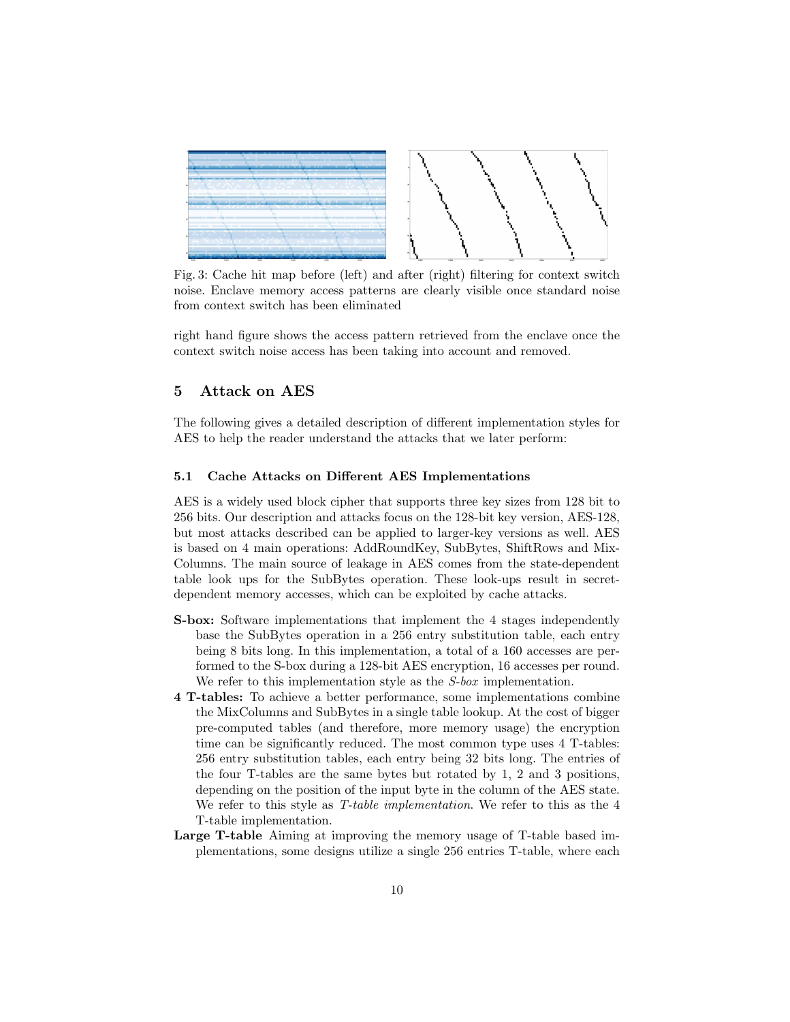

Fig. 3: Cache hit map before (left) and after (right) filtering for context switch noise. Enclave memory access patterns are clearly visible once standard noise from context switch has been eliminated

right hand figure shows the access pattern retrieved from the enclave once the context switch noise access has been taking into account and removed.

## 5 Attack on AES

The following gives a detailed description of different implementation styles for AES to help the reader understand the attacks that we later perform:

#### 5.1 Cache Attacks on Different AES Implementations

AES is a widely used block cipher that supports three key sizes from 128 bit to 256 bits. Our description and attacks focus on the 128-bit key version, AES-128, but most attacks described can be applied to larger-key versions as well. AES is based on 4 main operations: AddRoundKey, SubBytes, ShiftRows and Mix-Columns. The main source of leakage in AES comes from the state-dependent table look ups for the SubBytes operation. These look-ups result in secretdependent memory accesses, which can be exploited by cache attacks.

- S-box: Software implementations that implement the 4 stages independently base the SubBytes operation in a 256 entry substitution table, each entry being 8 bits long. In this implementation, a total of a 160 accesses are performed to the S-box during a 128-bit AES encryption, 16 accesses per round. We refer to this implementation style as the *S-box* implementation.
- 4 T-tables: To achieve a better performance, some implementations combine the MixColumns and SubBytes in a single table lookup. At the cost of bigger pre-computed tables (and therefore, more memory usage) the encryption time can be significantly reduced. The most common type uses 4 T-tables: 256 entry substitution tables, each entry being 32 bits long. The entries of the four T-tables are the same bytes but rotated by 1, 2 and 3 positions, depending on the position of the input byte in the column of the AES state. We refer to this style as T-table implementation. We refer to this as the 4 T-table implementation.
- Large T-table Aiming at improving the memory usage of T-table based implementations, some designs utilize a single 256 entries T-table, where each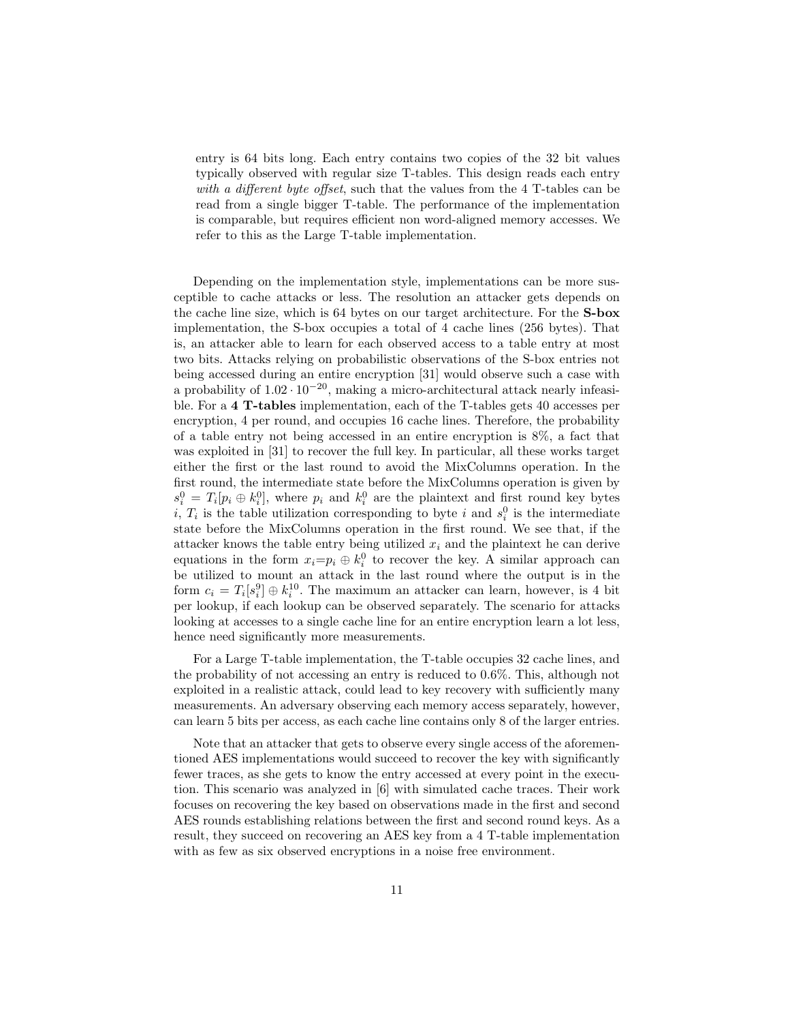entry is 64 bits long. Each entry contains two copies of the 32 bit values typically observed with regular size T-tables. This design reads each entry with a different byte offset, such that the values from the 4 T-tables can be read from a single bigger T-table. The performance of the implementation is comparable, but requires efficient non word-aligned memory accesses. We refer to this as the Large T-table implementation.

Depending on the implementation style, implementations can be more susceptible to cache attacks or less. The resolution an attacker gets depends on the cache line size, which is 64 bytes on our target architecture. For the S-box implementation, the S-box occupies a total of 4 cache lines (256 bytes). That is, an attacker able to learn for each observed access to a table entry at most two bits. Attacks relying on probabilistic observations of the S-box entries not being accessed during an entire encryption [31] would observe such a case with a probability of  $1.02 \cdot 10^{-20}$ , making a micro-architectural attack nearly infeasible. For a 4 T-tables implementation, each of the T-tables gets 40 accesses per encryption, 4 per round, and occupies 16 cache lines. Therefore, the probability of a table entry not being accessed in an entire encryption is 8%, a fact that was exploited in [31] to recover the full key. In particular, all these works target either the first or the last round to avoid the MixColumns operation. In the first round, the intermediate state before the MixColumns operation is given by  $s_i^0 = T_i[p_i \oplus k_i^0]$ , where  $p_i$  and  $k_i^0$  are the plaintext and first round key bytes i,  $T_i$  is the table utilization corresponding to byte i and  $s_i^0$  is the intermediate state before the MixColumns operation in the first round. We see that, if the attacker knows the table entry being utilized  $x_i$  and the plaintext he can derive equations in the form  $x_i=p_i \oplus k_i^0$  to recover the key. A similar approach can be utilized to mount an attack in the last round where the output is in the form  $c_i = T_i[s_i^9] \oplus k_i^{10}$ . The maximum an attacker can learn, however, is 4 bit per lookup, if each lookup can be observed separately. The scenario for attacks looking at accesses to a single cache line for an entire encryption learn a lot less, hence need significantly more measurements.

For a Large T-table implementation, the T-table occupies 32 cache lines, and the probability of not accessing an entry is reduced to 0.6%. This, although not exploited in a realistic attack, could lead to key recovery with sufficiently many measurements. An adversary observing each memory access separately, however, can learn 5 bits per access, as each cache line contains only 8 of the larger entries.

Note that an attacker that gets to observe every single access of the aforementioned AES implementations would succeed to recover the key with significantly fewer traces, as she gets to know the entry accessed at every point in the execution. This scenario was analyzed in [6] with simulated cache traces. Their work focuses on recovering the key based on observations made in the first and second AES rounds establishing relations between the first and second round keys. As a result, they succeed on recovering an AES key from a 4 T-table implementation with as few as six observed encryptions in a noise free environment.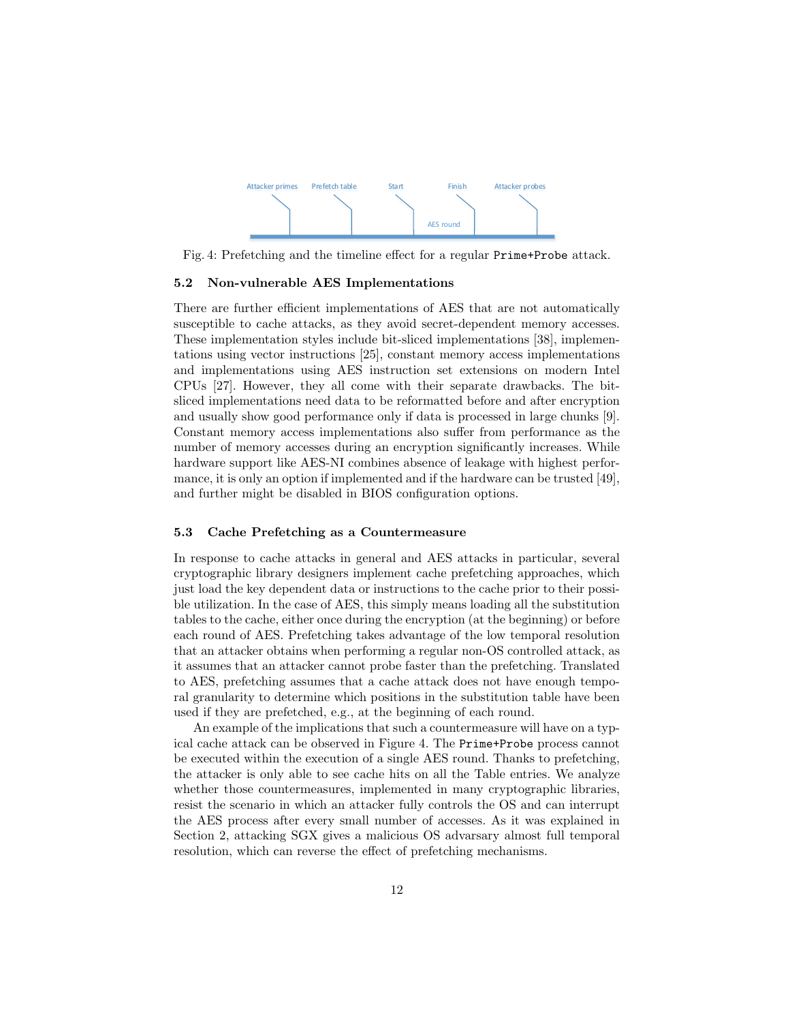

Fig. 4: Prefetching and the timeline effect for a regular Prime+Probe attack.

#### 5.2 Non-vulnerable AES Implementations

There are further efficient implementations of AES that are not automatically susceptible to cache attacks, as they avoid secret-dependent memory accesses. These implementation styles include bit-sliced implementations [38], implementations using vector instructions [25], constant memory access implementations and implementations using AES instruction set extensions on modern Intel CPUs [27]. However, they all come with their separate drawbacks. The bitsliced implementations need data to be reformatted before and after encryption and usually show good performance only if data is processed in large chunks [9]. Constant memory access implementations also suffer from performance as the number of memory accesses during an encryption significantly increases. While hardware support like AES-NI combines absence of leakage with highest performance, it is only an option if implemented and if the hardware can be trusted [49], and further might be disabled in BIOS configuration options.

#### 5.3 Cache Prefetching as a Countermeasure

In response to cache attacks in general and AES attacks in particular, several cryptographic library designers implement cache prefetching approaches, which just load the key dependent data or instructions to the cache prior to their possible utilization. In the case of AES, this simply means loading all the substitution tables to the cache, either once during the encryption (at the beginning) or before each round of AES. Prefetching takes advantage of the low temporal resolution that an attacker obtains when performing a regular non-OS controlled attack, as it assumes that an attacker cannot probe faster than the prefetching. Translated to AES, prefetching assumes that a cache attack does not have enough temporal granularity to determine which positions in the substitution table have been used if they are prefetched, e.g., at the beginning of each round.

An example of the implications that such a countermeasure will have on a typical cache attack can be observed in Figure 4. The Prime+Probe process cannot be executed within the execution of a single AES round. Thanks to prefetching, the attacker is only able to see cache hits on all the Table entries. We analyze whether those countermeasures, implemented in many cryptographic libraries, resist the scenario in which an attacker fully controls the OS and can interrupt the AES process after every small number of accesses. As it was explained in Section 2, attacking SGX gives a malicious OS advarsary almost full temporal resolution, which can reverse the effect of prefetching mechanisms.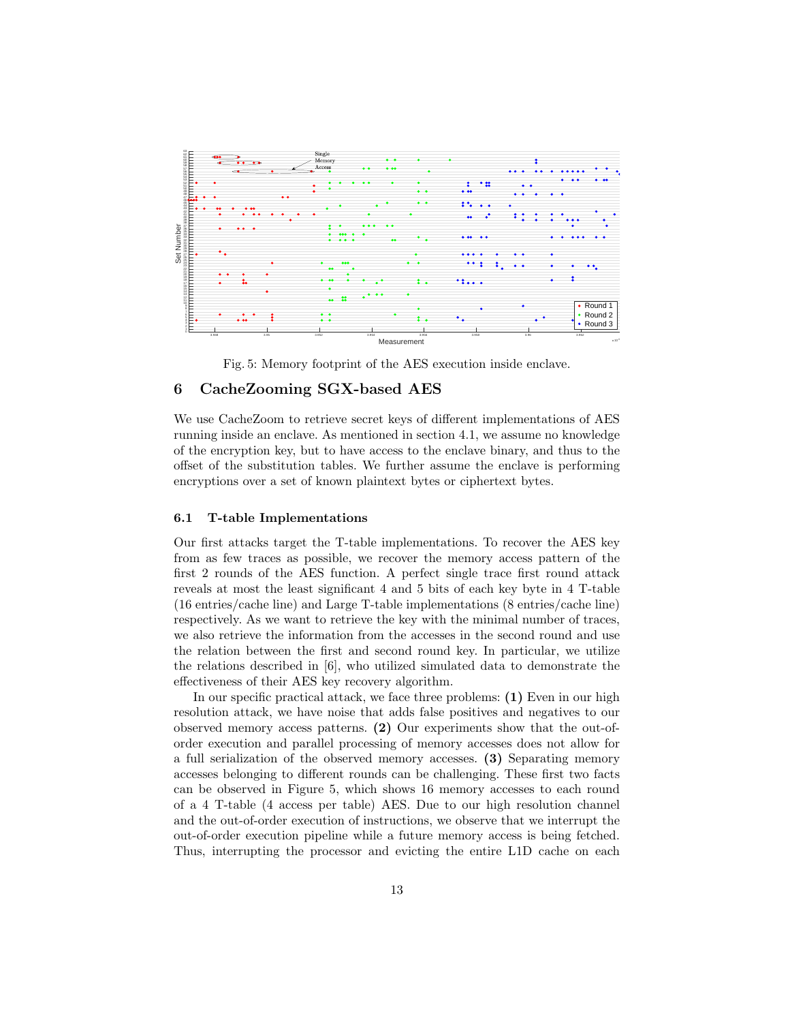

Fig. 5: Memory footprint of the AES execution inside enclave.

# 6 CacheZooming SGX-based AES

We use CacheZoom to retrieve secret keys of different implementations of AES running inside an enclave. As mentioned in section 4.1, we assume no knowledge of the encryption key, but to have access to the enclave binary, and thus to the offset of the substitution tables. We further assume the enclave is performing encryptions over a set of known plaintext bytes or ciphertext bytes.

#### 6.1 T-table Implementations

Our first attacks target the T-table implementations. To recover the AES key from as few traces as possible, we recover the memory access pattern of the first 2 rounds of the AES function. A perfect single trace first round attack reveals at most the least significant 4 and 5 bits of each key byte in 4 T-table (16 entries/cache line) and Large T-table implementations (8 entries/cache line) respectively. As we want to retrieve the key with the minimal number of traces, we also retrieve the information from the accesses in the second round and use the relation between the first and second round key. In particular, we utilize the relations described in [6], who utilized simulated data to demonstrate the effectiveness of their AES key recovery algorithm.

In our specific practical attack, we face three problems: (1) Even in our high resolution attack, we have noise that adds false positives and negatives to our observed memory access patterns. (2) Our experiments show that the out-oforder execution and parallel processing of memory accesses does not allow for a full serialization of the observed memory accesses. (3) Separating memory accesses belonging to different rounds can be challenging. These first two facts can be observed in Figure 5, which shows 16 memory accesses to each round of a 4 T-table (4 access per table) AES. Due to our high resolution channel and the out-of-order execution of instructions, we observe that we interrupt the out-of-order execution pipeline while a future memory access is being fetched. Thus, interrupting the processor and evicting the entire L1D cache on each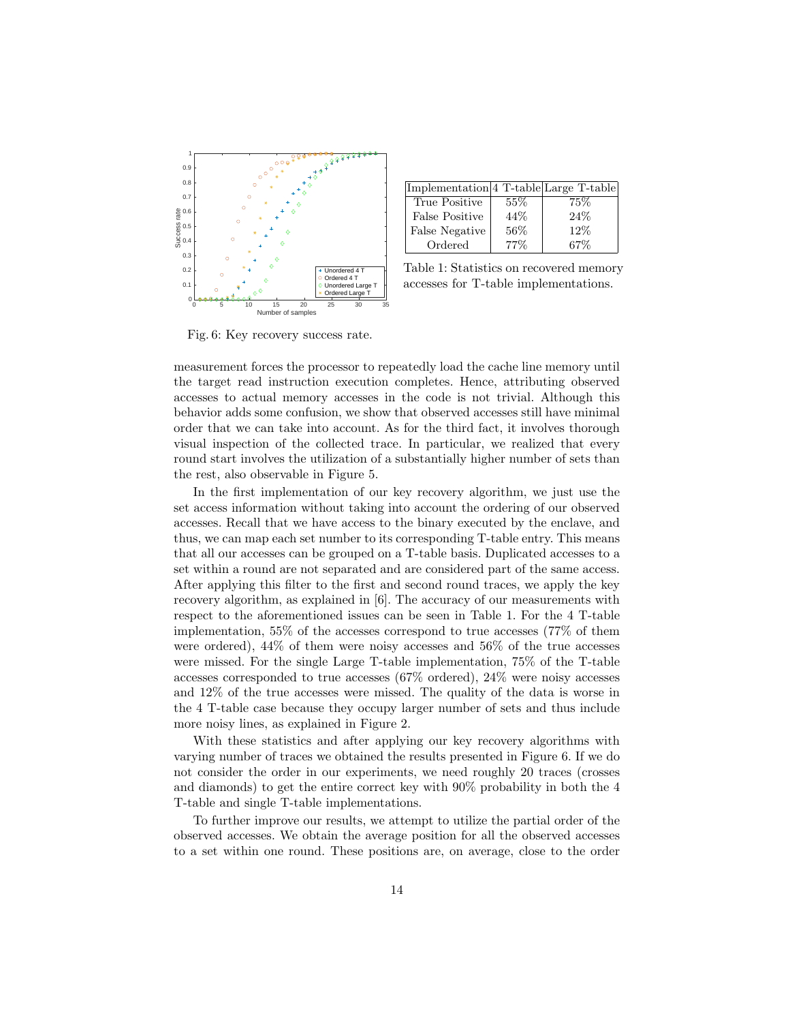

| Implementation 4 T-table Large T-table |      |      |
|----------------------------------------|------|------|
| True Positive                          | 55%  | 75%  |
| <b>False Positive</b>                  | 44\% | 24\% |
| False Negative                         | 56%  | 12%  |
| Ordered                                | 77%  | 67%  |

Table 1: Statistics on recovered memory accesses for T-table implementations.

Fig. 6: Key recovery success rate.

measurement forces the processor to repeatedly load the cache line memory until the target read instruction execution completes. Hence, attributing observed accesses to actual memory accesses in the code is not trivial. Although this behavior adds some confusion, we show that observed accesses still have minimal order that we can take into account. As for the third fact, it involves thorough visual inspection of the collected trace. In particular, we realized that every round start involves the utilization of a substantially higher number of sets than the rest, also observable in Figure 5.

In the first implementation of our key recovery algorithm, we just use the set access information without taking into account the ordering of our observed accesses. Recall that we have access to the binary executed by the enclave, and thus, we can map each set number to its corresponding T-table entry. This means that all our accesses can be grouped on a T-table basis. Duplicated accesses to a set within a round are not separated and are considered part of the same access. After applying this filter to the first and second round traces, we apply the key recovery algorithm, as explained in [6]. The accuracy of our measurements with respect to the aforementioned issues can be seen in Table 1. For the 4 T-table implementation, 55% of the accesses correspond to true accesses (77% of them were ordered), 44% of them were noisy accesses and 56% of the true accesses were missed. For the single Large T-table implementation, 75% of the T-table accesses corresponded to true accesses (67% ordered), 24% were noisy accesses and 12% of the true accesses were missed. The quality of the data is worse in the 4 T-table case because they occupy larger number of sets and thus include more noisy lines, as explained in Figure 2.

With these statistics and after applying our key recovery algorithms with varying number of traces we obtained the results presented in Figure 6. If we do not consider the order in our experiments, we need roughly 20 traces (crosses and diamonds) to get the entire correct key with 90% probability in both the 4 T-table and single T-table implementations.

To further improve our results, we attempt to utilize the partial order of the observed accesses. We obtain the average position for all the observed accesses to a set within one round. These positions are, on average, close to the order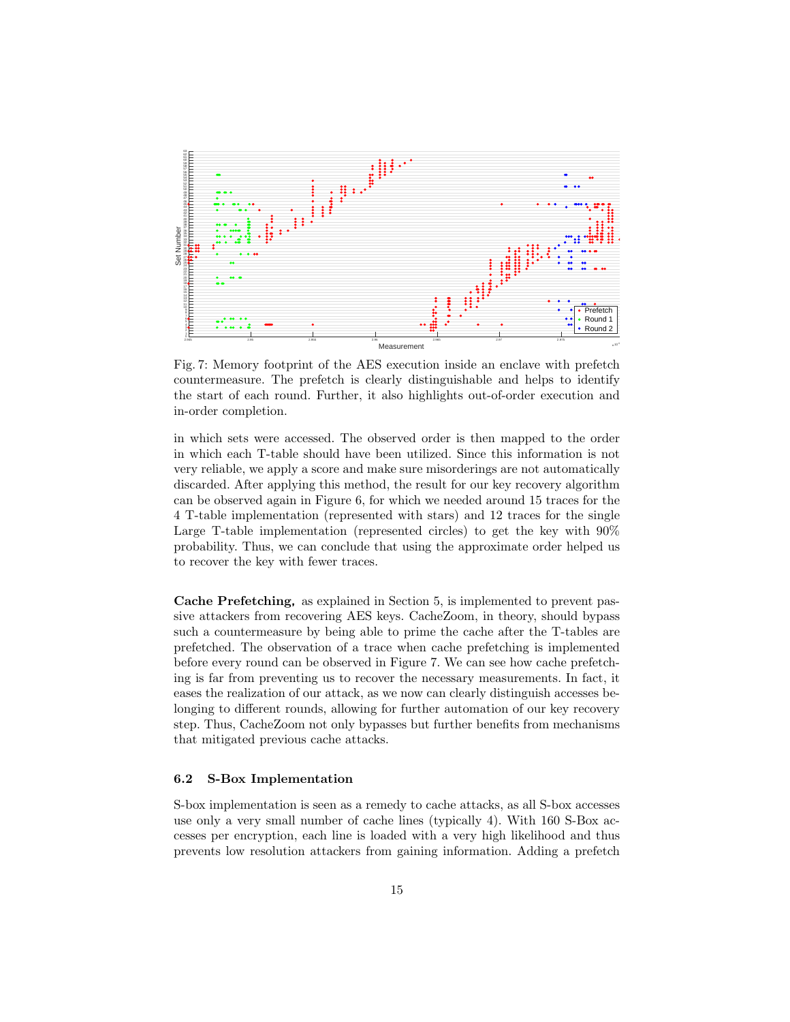

Fig. 7: Memory footprint of the AES execution inside an enclave with prefetch countermeasure. The prefetch is clearly distinguishable and helps to identify the start of each round. Further, it also highlights out-of-order execution and in-order completion.

in which sets were accessed. The observed order is then mapped to the order in which each T-table should have been utilized. Since this information is not very reliable, we apply a score and make sure misorderings are not automatically discarded. After applying this method, the result for our key recovery algorithm can be observed again in Figure 6, for which we needed around 15 traces for the 4 T-table implementation (represented with stars) and 12 traces for the single Large T-table implementation (represented circles) to get the key with 90% probability. Thus, we can conclude that using the approximate order helped us to recover the key with fewer traces.

Cache Prefetching, as explained in Section 5, is implemented to prevent passive attackers from recovering AES keys. CacheZoom, in theory, should bypass such a countermeasure by being able to prime the cache after the T-tables are prefetched. The observation of a trace when cache prefetching is implemented before every round can be observed in Figure 7. We can see how cache prefetching is far from preventing us to recover the necessary measurements. In fact, it eases the realization of our attack, as we now can clearly distinguish accesses belonging to different rounds, allowing for further automation of our key recovery step. Thus, CacheZoom not only bypasses but further benefits from mechanisms that mitigated previous cache attacks.

#### 6.2 S-Box Implementation

S-box implementation is seen as a remedy to cache attacks, as all S-box accesses use only a very small number of cache lines (typically 4). With 160 S-Box accesses per encryption, each line is loaded with a very high likelihood and thus prevents low resolution attackers from gaining information. Adding a prefetch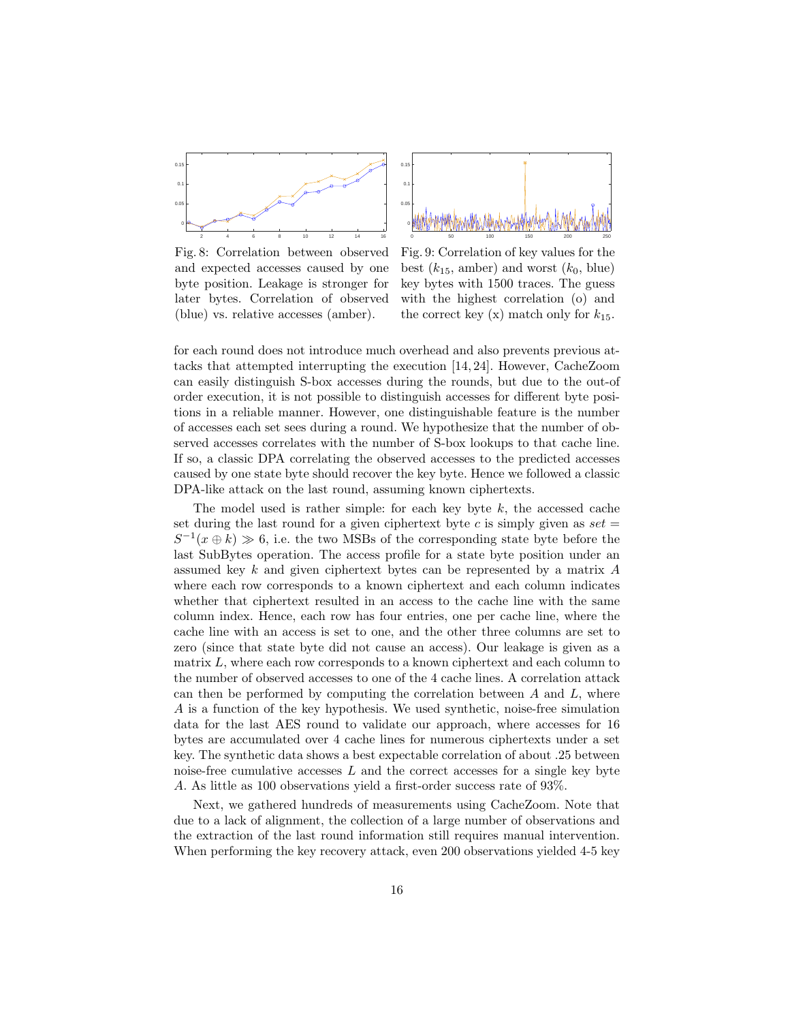

Fig. 8: Correlation between observed and expected accesses caused by one byte position. Leakage is stronger for later bytes. Correlation of observed (blue) vs. relative accesses (amber).



Fig. 9: Correlation of key values for the best  $(k_{15}$ , amber) and worst  $(k_0, blue)$ key bytes with 1500 traces. The guess with the highest correlation (o) and the correct key (x) match only for  $k_{15}$ .

for each round does not introduce much overhead and also prevents previous attacks that attempted interrupting the execution [14, 24]. However, CacheZoom can easily distinguish S-box accesses during the rounds, but due to the out-of order execution, it is not possible to distinguish accesses for different byte positions in a reliable manner. However, one distinguishable feature is the number of accesses each set sees during a round. We hypothesize that the number of observed accesses correlates with the number of S-box lookups to that cache line. If so, a classic DPA correlating the observed accesses to the predicted accesses caused by one state byte should recover the key byte. Hence we followed a classic DPA-like attack on the last round, assuming known ciphertexts.

The model used is rather simple: for each key byte  $k$ , the accessed cache set during the last round for a given ciphertext byte c is simply given as  $set =$  $S^{-1}(x \oplus k) \gg 6$ , i.e. the two MSBs of the corresponding state byte before the last SubBytes operation. The access profile for a state byte position under an assumed key k and given ciphertext bytes can be represented by a matrix A where each row corresponds to a known ciphertext and each column indicates whether that ciphertext resulted in an access to the cache line with the same column index. Hence, each row has four entries, one per cache line, where the cache line with an access is set to one, and the other three columns are set to zero (since that state byte did not cause an access). Our leakage is given as a matrix L, where each row corresponds to a known ciphertext and each column to the number of observed accesses to one of the 4 cache lines. A correlation attack can then be performed by computing the correlation between  $A$  and  $L$ , where A is a function of the key hypothesis. We used synthetic, noise-free simulation data for the last AES round to validate our approach, where accesses for 16 bytes are accumulated over 4 cache lines for numerous ciphertexts under a set key. The synthetic data shows a best expectable correlation of about .25 between noise-free cumulative accesses  $L$  and the correct accesses for a single key byte A. As little as 100 observations yield a first-order success rate of 93%.

Next, we gathered hundreds of measurements using CacheZoom. Note that due to a lack of alignment, the collection of a large number of observations and the extraction of the last round information still requires manual intervention. When performing the key recovery attack, even 200 observations yielded 4-5 key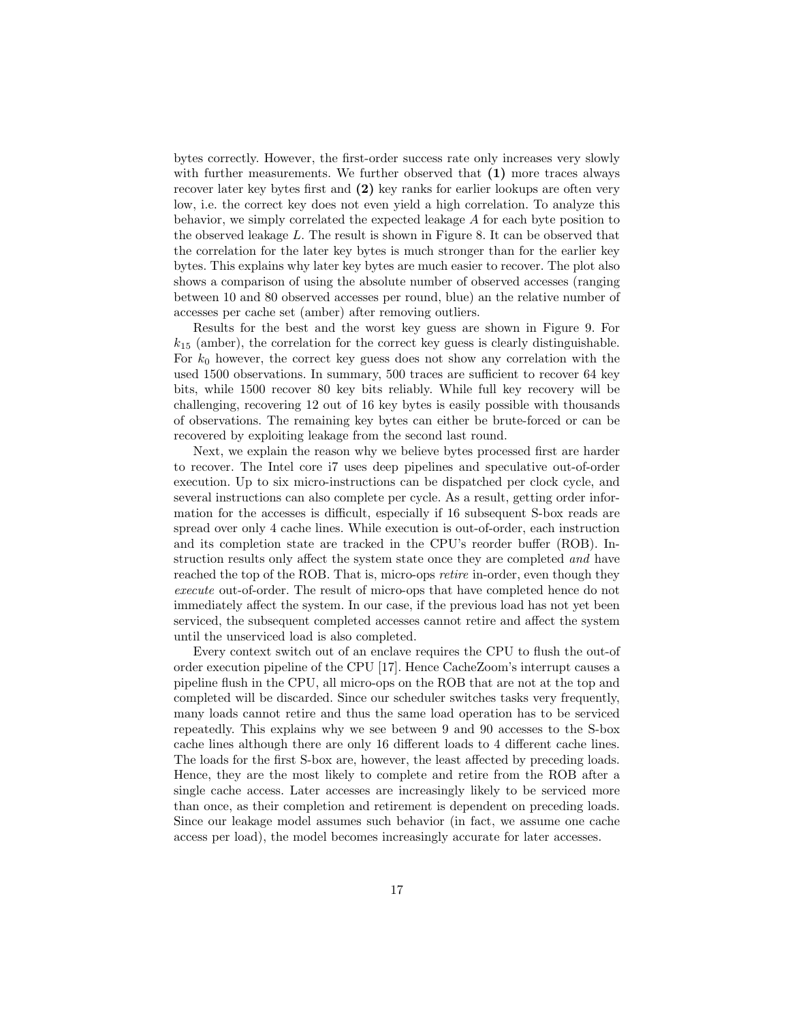bytes correctly. However, the first-order success rate only increases very slowly with further measurements. We further observed that  $(1)$  more traces always recover later key bytes first and (2) key ranks for earlier lookups are often very low, i.e. the correct key does not even yield a high correlation. To analyze this behavior, we simply correlated the expected leakage A for each byte position to the observed leakage L. The result is shown in Figure 8. It can be observed that the correlation for the later key bytes is much stronger than for the earlier key bytes. This explains why later key bytes are much easier to recover. The plot also shows a comparison of using the absolute number of observed accesses (ranging between 10 and 80 observed accesses per round, blue) an the relative number of accesses per cache set (amber) after removing outliers.

Results for the best and the worst key guess are shown in Figure 9. For  $k_{15}$  (amber), the correlation for the correct key guess is clearly distinguishable. For  $k_0$  however, the correct key guess does not show any correlation with the used 1500 observations. In summary, 500 traces are sufficient to recover 64 key bits, while 1500 recover 80 key bits reliably. While full key recovery will be challenging, recovering 12 out of 16 key bytes is easily possible with thousands of observations. The remaining key bytes can either be brute-forced or can be recovered by exploiting leakage from the second last round.

Next, we explain the reason why we believe bytes processed first are harder to recover. The Intel core i7 uses deep pipelines and speculative out-of-order execution. Up to six micro-instructions can be dispatched per clock cycle, and several instructions can also complete per cycle. As a result, getting order information for the accesses is difficult, especially if 16 subsequent S-box reads are spread over only 4 cache lines. While execution is out-of-order, each instruction and its completion state are tracked in the CPU's reorder buffer (ROB). Instruction results only affect the system state once they are completed and have reached the top of the ROB. That is, micro-ops retire in-order, even though they execute out-of-order. The result of micro-ops that have completed hence do not immediately affect the system. In our case, if the previous load has not yet been serviced, the subsequent completed accesses cannot retire and affect the system until the unserviced load is also completed.

Every context switch out of an enclave requires the CPU to flush the out-of order execution pipeline of the CPU [17]. Hence CacheZoom's interrupt causes a pipeline flush in the CPU, all micro-ops on the ROB that are not at the top and completed will be discarded. Since our scheduler switches tasks very frequently, many loads cannot retire and thus the same load operation has to be serviced repeatedly. This explains why we see between 9 and 90 accesses to the S-box cache lines although there are only 16 different loads to 4 different cache lines. The loads for the first S-box are, however, the least affected by preceding loads. Hence, they are the most likely to complete and retire from the ROB after a single cache access. Later accesses are increasingly likely to be serviced more than once, as their completion and retirement is dependent on preceding loads. Since our leakage model assumes such behavior (in fact, we assume one cache access per load), the model becomes increasingly accurate for later accesses.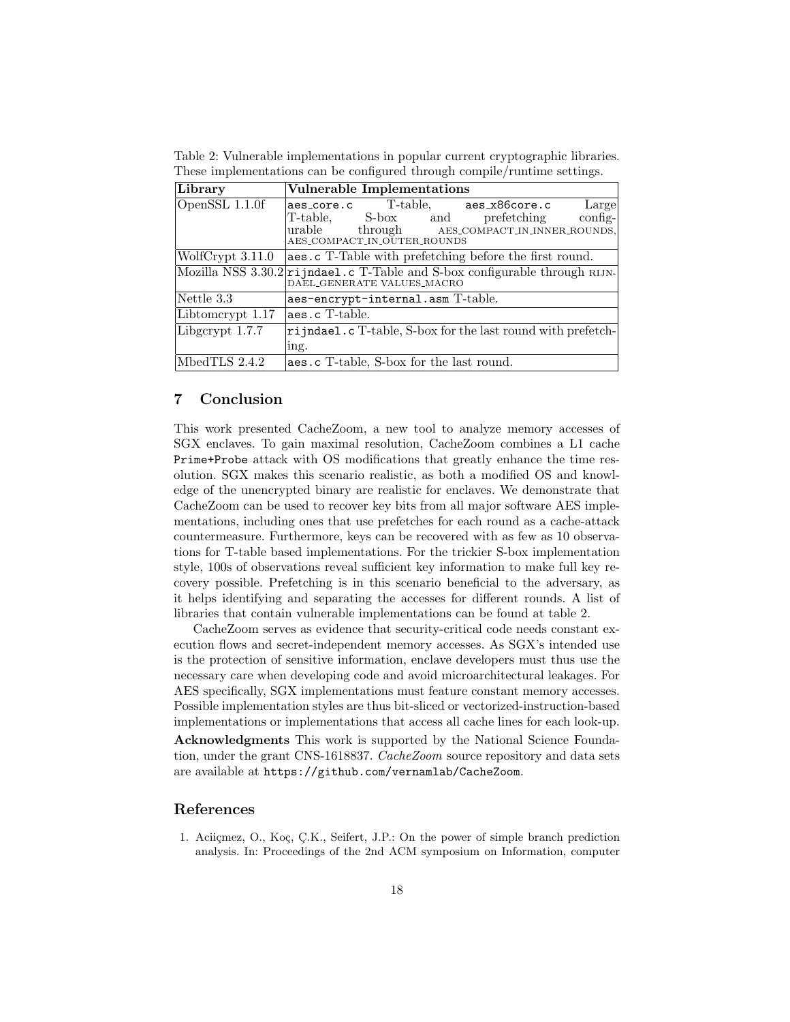Table 2: Vulnerable implementations in popular current cryptographic libraries. These implementations can be configured through compile/runtime settings.

| Library          | Vulnerable Implementations                                                    |  |  |                                                        |                  |  |
|------------------|-------------------------------------------------------------------------------|--|--|--------------------------------------------------------|------------------|--|
| OpenSSL $1.1.0f$ |                                                                               |  |  | aes_core.c T-table, aes_x86core.c                      | Large            |  |
|                  | T-table, S-box and                                                            |  |  | prefetching                                            | $\text{config-}$ |  |
|                  | urable<br>through AES_COMPACT_IN_INNER_ROUNDS,<br>AES_COMPACT_IN_OUTER_ROUNDS |  |  |                                                        |                  |  |
| WolfCrypt 3.11.0 |                                                                               |  |  | aes.c T-Table with prefetching before the first round. |                  |  |
|                  | Mozilla NSS 3.30.2 rijndael.c T-Table and S-box configurable through RIJN-    |  |  |                                                        |                  |  |
|                  | DAEL_GENERATE VALUES_MACRO                                                    |  |  |                                                        |                  |  |
| Nettle 3.3       | aes-encrypt-internal.asm T-table.                                             |  |  |                                                        |                  |  |
| Libtomcrypt 1.17 | laes.c T-table.                                                               |  |  |                                                        |                  |  |
| Libgcrypt 1.7.7  | rijndael.c T-table, S-box for the last round with prefetch-                   |  |  |                                                        |                  |  |
|                  | ing.                                                                          |  |  |                                                        |                  |  |
| MbedTLS 2.4.2    | aes.c T-table, S-box for the last round.                                      |  |  |                                                        |                  |  |

# 7 Conclusion

This work presented CacheZoom, a new tool to analyze memory accesses of SGX enclaves. To gain maximal resolution, CacheZoom combines a L1 cache Prime+Probe attack with OS modifications that greatly enhance the time resolution. SGX makes this scenario realistic, as both a modified OS and knowledge of the unencrypted binary are realistic for enclaves. We demonstrate that CacheZoom can be used to recover key bits from all major software AES implementations, including ones that use prefetches for each round as a cache-attack countermeasure. Furthermore, keys can be recovered with as few as 10 observations for T-table based implementations. For the trickier S-box implementation style, 100s of observations reveal sufficient key information to make full key recovery possible. Prefetching is in this scenario beneficial to the adversary, as it helps identifying and separating the accesses for different rounds. A list of libraries that contain vulnerable implementations can be found at table 2.

CacheZoom serves as evidence that security-critical code needs constant execution flows and secret-independent memory accesses. As SGX's intended use is the protection of sensitive information, enclave developers must thus use the necessary care when developing code and avoid microarchitectural leakages. For AES specifically, SGX implementations must feature constant memory accesses. Possible implementation styles are thus bit-sliced or vectorized-instruction-based implementations or implementations that access all cache lines for each look-up. Acknowledgments This work is supported by the National Science Founda-

tion, under the grant CNS-1618837. CacheZoom source repository and data sets are available at https://github.com/vernamlab/CacheZoom.

## References

1. Aciiçmez, O., Koç, Ç.K., Seifert, J.P.: On the power of simple branch prediction analysis. In: Proceedings of the 2nd ACM symposium on Information, computer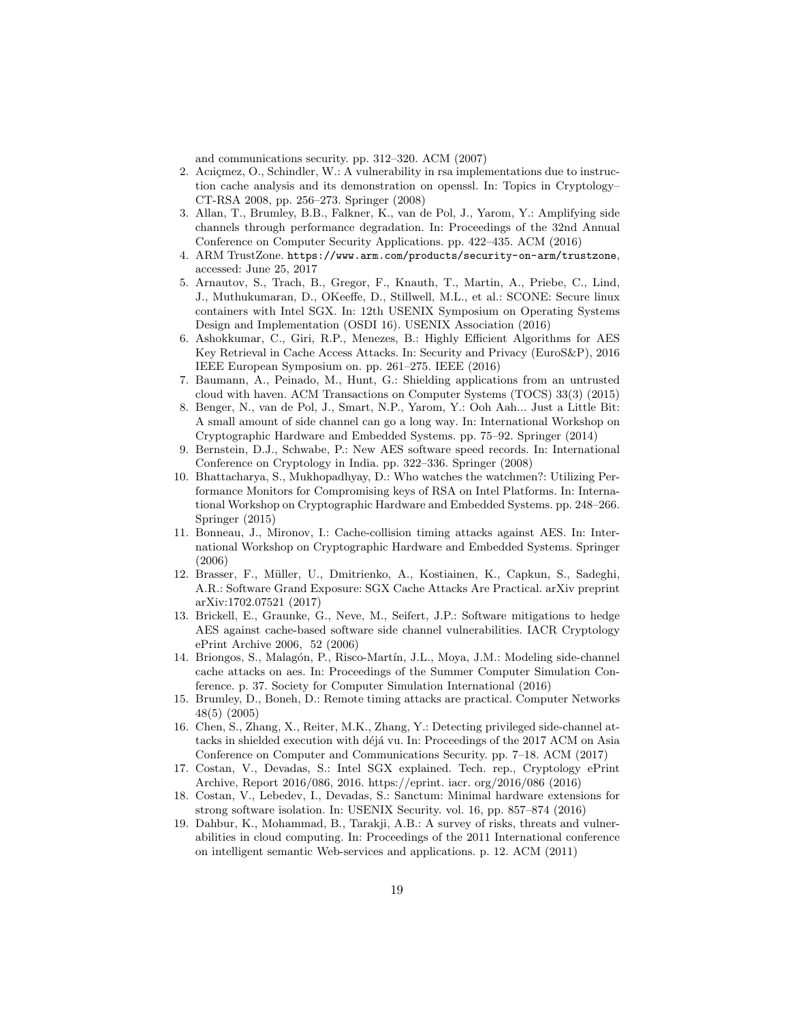and communications security. pp. 312–320. ACM (2007)

- 2. Aciiçmez, O., Schindler, W.: A vulnerability in rsa implementations due to instruction cache analysis and its demonstration on openssl. In: Topics in Cryptology– CT-RSA 2008, pp. 256–273. Springer (2008)
- 3. Allan, T., Brumley, B.B., Falkner, K., van de Pol, J., Yarom, Y.: Amplifying side channels through performance degradation. In: Proceedings of the 32nd Annual Conference on Computer Security Applications. pp. 422–435. ACM (2016)
- 4. ARM TrustZone. https://www.arm.com/products/security-on-arm/trustzone, accessed: June 25, 2017
- 5. Arnautov, S., Trach, B., Gregor, F., Knauth, T., Martin, A., Priebe, C., Lind, J., Muthukumaran, D., OKeeffe, D., Stillwell, M.L., et al.: SCONE: Secure linux containers with Intel SGX. In: 12th USENIX Symposium on Operating Systems Design and Implementation (OSDI 16). USENIX Association (2016)
- 6. Ashokkumar, C., Giri, R.P., Menezes, B.: Highly Efficient Algorithms for AES Key Retrieval in Cache Access Attacks. In: Security and Privacy (EuroS&P), 2016 IEEE European Symposium on. pp. 261–275. IEEE (2016)
- 7. Baumann, A., Peinado, M., Hunt, G.: Shielding applications from an untrusted cloud with haven. ACM Transactions on Computer Systems (TOCS) 33(3) (2015)
- 8. Benger, N., van de Pol, J., Smart, N.P., Yarom, Y.: Ooh Aah... Just a Little Bit: A small amount of side channel can go a long way. In: International Workshop on Cryptographic Hardware and Embedded Systems. pp. 75–92. Springer (2014)
- 9. Bernstein, D.J., Schwabe, P.: New AES software speed records. In: International Conference on Cryptology in India. pp. 322–336. Springer (2008)
- 10. Bhattacharya, S., Mukhopadhyay, D.: Who watches the watchmen?: Utilizing Performance Monitors for Compromising keys of RSA on Intel Platforms. In: International Workshop on Cryptographic Hardware and Embedded Systems. pp. 248–266. Springer (2015)
- 11. Bonneau, J., Mironov, I.: Cache-collision timing attacks against AES. In: International Workshop on Cryptographic Hardware and Embedded Systems. Springer (2006)
- 12. Brasser, F., M¨uller, U., Dmitrienko, A., Kostiainen, K., Capkun, S., Sadeghi, A.R.: Software Grand Exposure: SGX Cache Attacks Are Practical. arXiv preprint arXiv:1702.07521 (2017)
- 13. Brickell, E., Graunke, G., Neve, M., Seifert, J.P.: Software mitigations to hedge AES against cache-based software side channel vulnerabilities. IACR Cryptology ePrint Archive 2006, 52 (2006)
- 14. Briongos, S., Malagón, P., Risco-Martín, J.L., Moya, J.M.: Modeling side-channel cache attacks on aes. In: Proceedings of the Summer Computer Simulation Conference. p. 37. Society for Computer Simulation International (2016)
- 15. Brumley, D., Boneh, D.: Remote timing attacks are practical. Computer Networks 48(5) (2005)
- 16. Chen, S., Zhang, X., Reiter, M.K., Zhang, Y.: Detecting privileged side-channel attacks in shielded execution with déjá vu. In: Proceedings of the 2017 ACM on Asia Conference on Computer and Communications Security. pp. 7–18. ACM (2017)
- 17. Costan, V., Devadas, S.: Intel SGX explained. Tech. rep., Cryptology ePrint Archive, Report 2016/086, 2016. https://eprint. iacr. org/2016/086 (2016)
- 18. Costan, V., Lebedev, I., Devadas, S.: Sanctum: Minimal hardware extensions for strong software isolation. In: USENIX Security. vol. 16, pp. 857–874 (2016)
- 19. Dahbur, K., Mohammad, B., Tarakji, A.B.: A survey of risks, threats and vulnerabilities in cloud computing. In: Proceedings of the 2011 International conference on intelligent semantic Web-services and applications. p. 12. ACM (2011)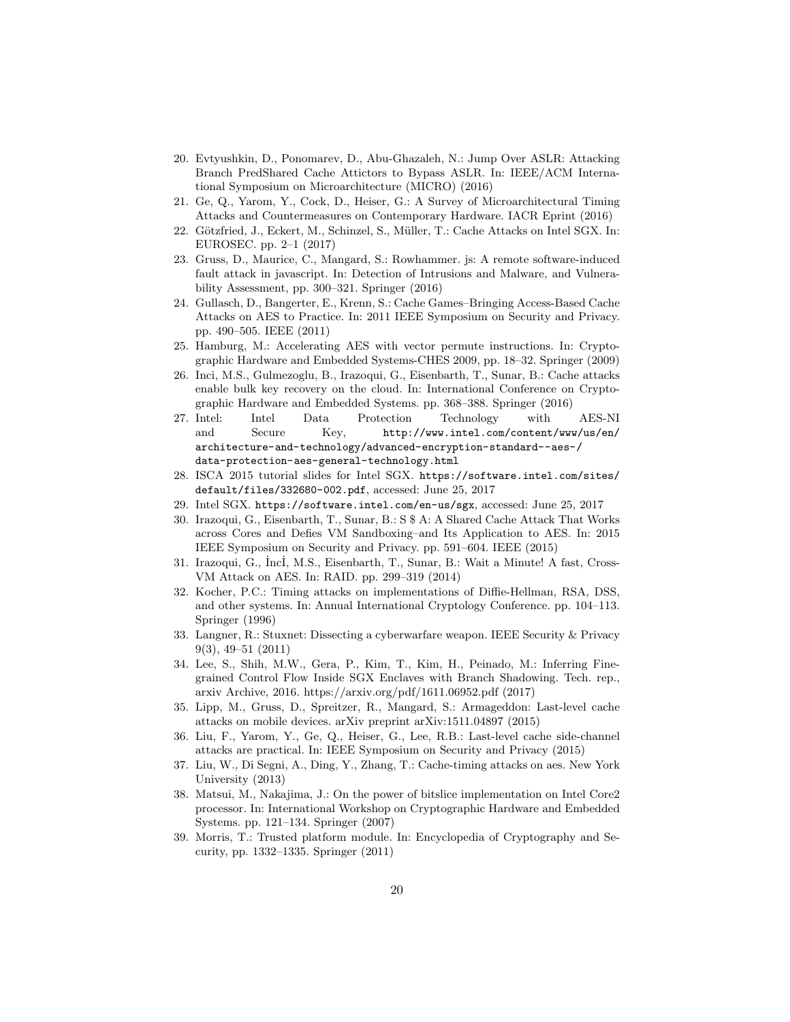- 20. Evtyushkin, D., Ponomarev, D., Abu-Ghazaleh, N.: Jump Over ASLR: Attacking Branch PredShared Cache Attictors to Bypass ASLR. In: IEEE/ACM International Symposium on Microarchitecture (MICRO) (2016)
- 21. Ge, Q., Yarom, Y., Cock, D., Heiser, G.: A Survey of Microarchitectural Timing Attacks and Countermeasures on Contemporary Hardware. IACR Eprint (2016)
- 22. Götzfried, J., Eckert, M., Schinzel, S., Müller, T.: Cache Attacks on Intel SGX. In: EUROSEC. pp. 2–1 (2017)
- 23. Gruss, D., Maurice, C., Mangard, S.: Rowhammer. js: A remote software-induced fault attack in javascript. In: Detection of Intrusions and Malware, and Vulnerability Assessment, pp. 300–321. Springer (2016)
- 24. Gullasch, D., Bangerter, E., Krenn, S.: Cache Games–Bringing Access-Based Cache Attacks on AES to Practice. In: 2011 IEEE Symposium on Security and Privacy. pp. 490–505. IEEE (2011)
- 25. Hamburg, M.: Accelerating AES with vector permute instructions. In: Cryptographic Hardware and Embedded Systems-CHES 2009, pp. 18–32. Springer (2009)
- 26. Inci, M.S., Gulmezoglu, B., Irazoqui, G., Eisenbarth, T., Sunar, B.: Cache attacks enable bulk key recovery on the cloud. In: International Conference on Cryptographic Hardware and Embedded Systems. pp. 368–388. Springer (2016)
- 27. Intel: Intel Data Protection Technology with AES-NI and Secure Key, http://www.intel.com/content/www/us/en/ architecture-and-technology/advanced-encryption-standard--aes-/ data-protection-aes-general-technology.html
- 28. ISCA 2015 tutorial slides for Intel SGX. https://software.intel.com/sites/ default/files/332680-002.pdf, accessed: June 25, 2017
- 29. Intel SGX. https://software.intel.com/en-us/sgx, accessed: June 25, 2017
- 30. Irazoqui, G., Eisenbarth, T., Sunar, B.: S \$ A: A Shared Cache Attack That Works across Cores and Defies VM Sandboxing–and Its Application to AES. In: 2015 IEEE Symposium on Security and Privacy. pp. 591–604. IEEE (2015)
- 31. Irazoqui, G., ˙Inc˙I, M.S., Eisenbarth, T., Sunar, B.: Wait a Minute! A fast, Cross-VM Attack on AES. In: RAID. pp. 299–319 (2014)
- 32. Kocher, P.C.: Timing attacks on implementations of Diffie-Hellman, RSA, DSS, and other systems. In: Annual International Cryptology Conference. pp. 104–113. Springer (1996)
- 33. Langner, R.: Stuxnet: Dissecting a cyberwarfare weapon. IEEE Security & Privacy 9(3), 49–51 (2011)
- 34. Lee, S., Shih, M.W., Gera, P., Kim, T., Kim, H., Peinado, M.: Inferring Finegrained Control Flow Inside SGX Enclaves with Branch Shadowing. Tech. rep., arxiv Archive, 2016. https://arxiv.org/pdf/1611.06952.pdf (2017)
- 35. Lipp, M., Gruss, D., Spreitzer, R., Mangard, S.: Armageddon: Last-level cache attacks on mobile devices. arXiv preprint arXiv:1511.04897 (2015)
- 36. Liu, F., Yarom, Y., Ge, Q., Heiser, G., Lee, R.B.: Last-level cache side-channel attacks are practical. In: IEEE Symposium on Security and Privacy (2015)
- 37. Liu, W., Di Segni, A., Ding, Y., Zhang, T.: Cache-timing attacks on aes. New York University (2013)
- 38. Matsui, M., Nakajima, J.: On the power of bitslice implementation on Intel Core2 processor. In: International Workshop on Cryptographic Hardware and Embedded Systems. pp. 121–134. Springer (2007)
- 39. Morris, T.: Trusted platform module. In: Encyclopedia of Cryptography and Security, pp. 1332–1335. Springer (2011)